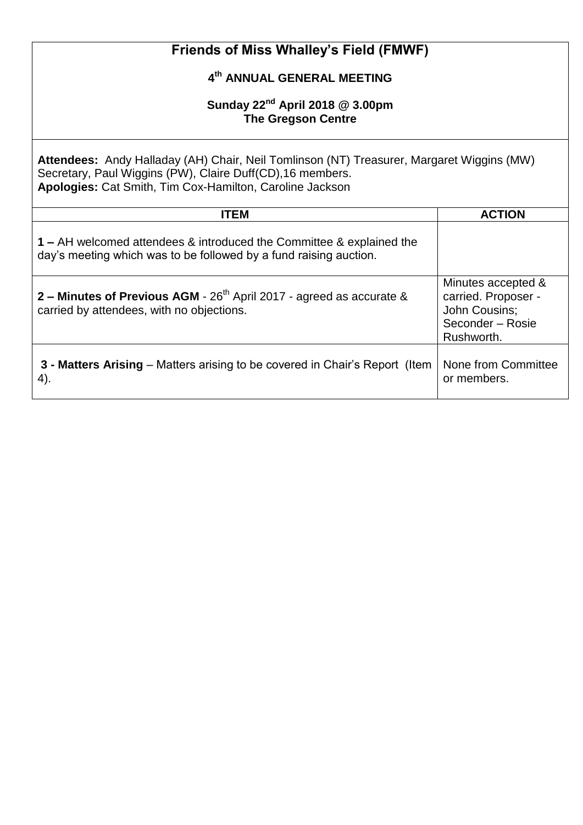| Friends of Miss Whalley's Field (FMWF)                                                                                                                                                                              |                                                                                              |  |
|---------------------------------------------------------------------------------------------------------------------------------------------------------------------------------------------------------------------|----------------------------------------------------------------------------------------------|--|
| 4th ANNUAL GENERAL MEETING                                                                                                                                                                                          |                                                                                              |  |
| Sunday $22^{nd}$ April 2018 @ 3.00pm<br><b>The Gregson Centre</b>                                                                                                                                                   |                                                                                              |  |
| Attendees: Andy Halladay (AH) Chair, Neil Tomlinson (NT) Treasurer, Margaret Wiggins (MW)<br>Secretary, Paul Wiggins (PW), Claire Duff(CD), 16 members.<br>Apologies: Cat Smith, Tim Cox-Hamilton, Caroline Jackson |                                                                                              |  |
| <b>ITEM</b>                                                                                                                                                                                                         | <b>ACTION</b>                                                                                |  |
| 1 – AH welcomed attendees & introduced the Committee & explained the<br>day's meeting which was to be followed by a fund raising auction.                                                                           |                                                                                              |  |
| 2 – Minutes of Previous AGM - $26th$ April 2017 - agreed as accurate &<br>carried by attendees, with no objections.                                                                                                 | Minutes accepted &<br>carried. Proposer -<br>John Cousins;<br>Seconder - Rosie<br>Rushworth. |  |
| <b>3 - Matters Arising</b> – Matters arising to be covered in Chair's Report (Item<br>4).                                                                                                                           | None from Committee<br>or members.                                                           |  |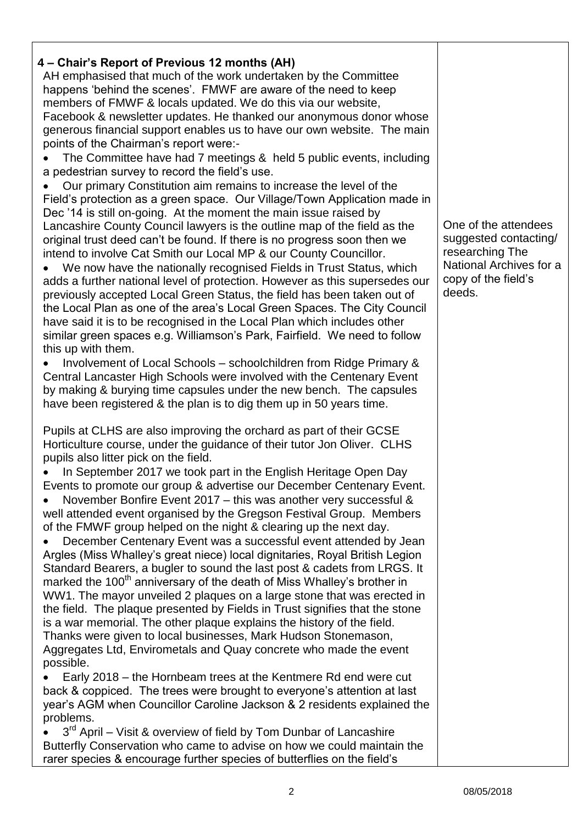## **4 – Chair's Report of Previous 12 months (AH)**

AH emphasised that much of the work undertaken by the Committee happens 'behind the scenes'. FMWF are aware of the need to keep members of FMWF & locals updated. We do this via our website, Facebook & newsletter updates. He thanked our anonymous donor whose generous financial support enables us to have our own website. The main points of the Chairman's report were:-

 The Committee have had 7 meetings & held 5 public events, including a pedestrian survey to record the field's use.

 Our primary Constitution aim remains to increase the level of the Field's protection as a green space. Our Village/Town Application made in Dec '14 is still on-going. At the moment the main issue raised by Lancashire County Council lawyers is the outline map of the field as the original trust deed can't be found. If there is no progress soon then we intend to involve Cat Smith our Local MP & our County Councillor.

 We now have the nationally recognised Fields in Trust Status, which adds a further national level of protection. However as this supersedes our previously accepted Local Green Status, the field has been taken out of the Local Plan as one of the area's Local Green Spaces. The City Council have said it is to be recognised in the Local Plan which includes other similar green spaces e.g. Williamson's Park, Fairfield. We need to follow this up with them.

 Involvement of Local Schools – schoolchildren from Ridge Primary & Central Lancaster High Schools were involved with the Centenary Event by making & burying time capsules under the new bench. The capsules have been registered & the plan is to dig them up in 50 years time.

Pupils at CLHS are also improving the orchard as part of their GCSE Horticulture course, under the guidance of their tutor Jon Oliver. CLHS pupils also litter pick on the field.

 In September 2017 we took part in the English Heritage Open Day Events to promote our group & advertise our December Centenary Event.

 November Bonfire Event 2017 – this was another very successful & well attended event organised by the Gregson Festival Group. Members of the FMWF group helped on the night & clearing up the next day.

 December Centenary Event was a successful event attended by Jean Argles (Miss Whalley's great niece) local dignitaries, Royal British Legion Standard Bearers, a bugler to sound the last post & cadets from LRGS. It marked the 100<sup>th</sup> anniversary of the death of Miss Whalley's brother in WW1. The mayor unveiled 2 plaques on a large stone that was erected in the field. The plaque presented by Fields in Trust signifies that the stone is a war memorial. The other plaque explains the history of the field. Thanks were given to local businesses, Mark Hudson Stonemason, Aggregates Ltd, Envirometals and Quay concrete who made the event possible.

 Early 2018 – the Hornbeam trees at the Kentmere Rd end were cut back & coppiced. The trees were brought to everyone's attention at last year's AGM when Councillor Caroline Jackson & 2 residents explained the problems.

 $\bullet$  3<sup>rd</sup> April – Visit & overview of field by Tom Dunbar of Lancashire Butterfly Conservation who came to advise on how we could maintain the rarer species & encourage further species of butterflies on the field's

One of the attendees suggested contacting/ researching The National Archives for a copy of the field's deeds.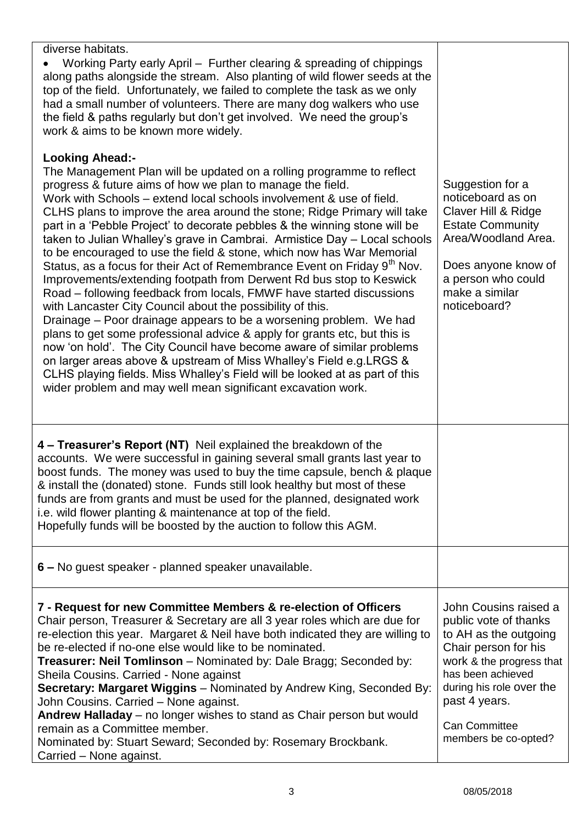| diverse habitats.<br>Working Party early April – Further clearing & spreading of chippings<br>along paths alongside the stream. Also planting of wild flower seeds at the<br>top of the field. Unfortunately, we failed to complete the task as we only<br>had a small number of volunteers. There are many dog walkers who use<br>the field & paths regularly but don't get involved. We need the group's<br>work & aims to be known more widely.                                                                                                                                                                                                                                                                                                                                                                                                                                                                                                                                                                                                                                                                                                                                                                                                                                                            |                                                                                                                                                                                                                                               |
|---------------------------------------------------------------------------------------------------------------------------------------------------------------------------------------------------------------------------------------------------------------------------------------------------------------------------------------------------------------------------------------------------------------------------------------------------------------------------------------------------------------------------------------------------------------------------------------------------------------------------------------------------------------------------------------------------------------------------------------------------------------------------------------------------------------------------------------------------------------------------------------------------------------------------------------------------------------------------------------------------------------------------------------------------------------------------------------------------------------------------------------------------------------------------------------------------------------------------------------------------------------------------------------------------------------|-----------------------------------------------------------------------------------------------------------------------------------------------------------------------------------------------------------------------------------------------|
| <b>Looking Ahead:-</b><br>The Management Plan will be updated on a rolling programme to reflect<br>progress & future aims of how we plan to manage the field.<br>Work with Schools – extend local schools involvement & use of field.<br>CLHS plans to improve the area around the stone; Ridge Primary will take<br>part in a 'Pebble Project' to decorate pebbles & the winning stone will be<br>taken to Julian Whalley's grave in Cambrai. Armistice Day - Local schools<br>to be encouraged to use the field & stone, which now has War Memorial<br>Status, as a focus for their Act of Remembrance Event on Friday 9 <sup>th</sup> Nov.<br>Improvements/extending footpath from Derwent Rd bus stop to Keswick<br>Road – following feedback from locals, FMWF have started discussions<br>with Lancaster City Council about the possibility of this.<br>Drainage – Poor drainage appears to be a worsening problem. We had<br>plans to get some professional advice & apply for grants etc, but this is<br>now 'on hold'. The City Council have become aware of similar problems<br>on larger areas above & upstream of Miss Whalley's Field e.g. LRGS &<br>CLHS playing fields. Miss Whalley's Field will be looked at as part of this<br>wider problem and may well mean significant excavation work. | Suggestion for a<br>noticeboard as on<br>Claver Hill & Ridge<br><b>Estate Community</b><br>Area/Woodland Area.<br>Does anyone know of<br>a person who could<br>make a similar<br>noticeboard?                                                 |
| 4 - Treasurer's Report (NT) Neil explained the breakdown of the<br>accounts. We were successful in gaining several small grants last year to<br>boost funds. The money was used to buy the time capsule, bench & plaque<br>& install the (donated) stone. Funds still look healthy but most of these<br>funds are from grants and must be used for the planned, designated work<br>i.e. wild flower planting & maintenance at top of the field.<br>Hopefully funds will be boosted by the auction to follow this AGM.                                                                                                                                                                                                                                                                                                                                                                                                                                                                                                                                                                                                                                                                                                                                                                                         |                                                                                                                                                                                                                                               |
| 6 – No guest speaker - planned speaker unavailable.                                                                                                                                                                                                                                                                                                                                                                                                                                                                                                                                                                                                                                                                                                                                                                                                                                                                                                                                                                                                                                                                                                                                                                                                                                                           |                                                                                                                                                                                                                                               |
| 7 - Request for new Committee Members & re-election of Officers<br>Chair person, Treasurer & Secretary are all 3 year roles which are due for<br>re-election this year. Margaret & Neil have both indicated they are willing to<br>be re-elected if no-one else would like to be nominated.<br><b>Treasurer: Neil Tomlinson</b> – Nominated by: Dale Bragg; Seconded by:<br>Sheila Cousins. Carried - None against<br><b>Secretary: Margaret Wiggins</b> – Nominated by Andrew King, Seconded By:<br>John Cousins. Carried - None against.<br>Andrew Halladay - no longer wishes to stand as Chair person but would<br>remain as a Committee member.<br>Nominated by: Stuart Seward; Seconded by: Rosemary Brockbank.<br>Carried - None against.                                                                                                                                                                                                                                                                                                                                                                                                                                                                                                                                                              | John Cousins raised a<br>public vote of thanks<br>to AH as the outgoing<br>Chair person for his<br>work & the progress that<br>has been achieved<br>during his role over the<br>past 4 years.<br><b>Can Committee</b><br>members be co-opted? |